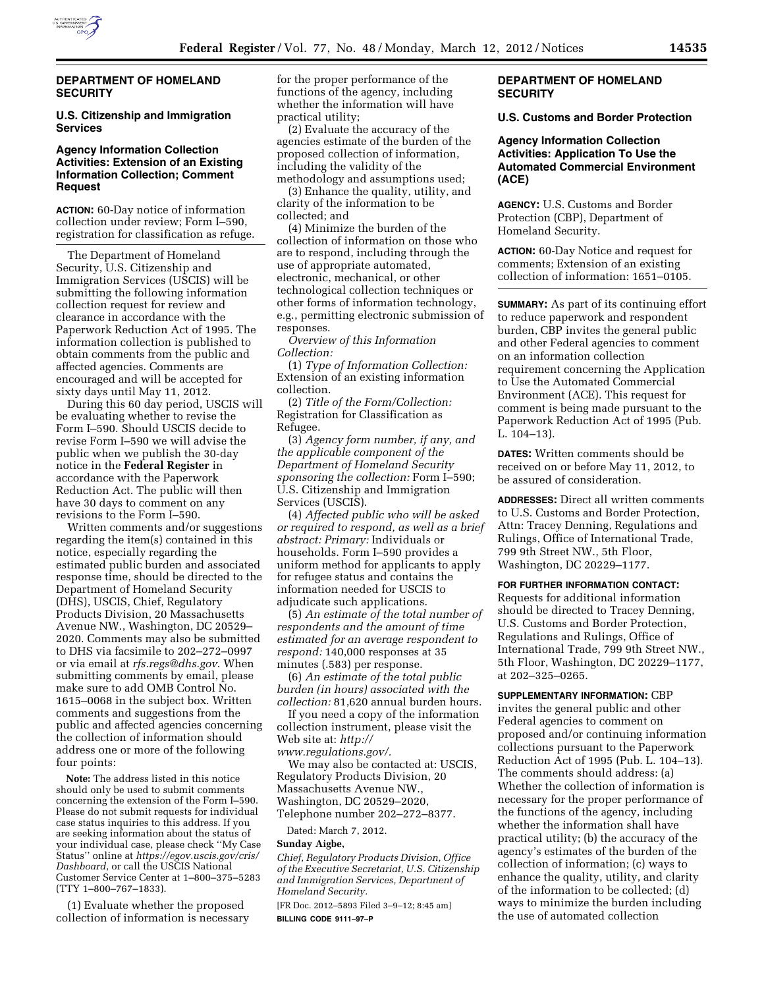

### **DEPARTMENT OF HOMELAND SECURITY**

# **U.S. Citizenship and Immigration Services**

### **Agency Information Collection Activities: Extension of an Existing Information Collection; Comment Request**

**ACTION:** 60-Day notice of information collection under review; Form I–590, registration for classification as refuge.

The Department of Homeland Security, U.S. Citizenship and Immigration Services (USCIS) will be submitting the following information collection request for review and clearance in accordance with the Paperwork Reduction Act of 1995. The information collection is published to obtain comments from the public and affected agencies. Comments are encouraged and will be accepted for sixty days until May 11, 2012.

During this 60 day period, USCIS will be evaluating whether to revise the Form I–590. Should USCIS decide to revise Form I–590 we will advise the public when we publish the 30-day notice in the **Federal Register** in accordance with the Paperwork Reduction Act. The public will then have 30 days to comment on any revisions to the Form I–590.

Written comments and/or suggestions regarding the item(s) contained in this notice, especially regarding the estimated public burden and associated response time, should be directed to the Department of Homeland Security (DHS), USCIS, Chief, Regulatory Products Division, 20 Massachusetts Avenue NW., Washington, DC 20529– 2020. Comments may also be submitted to DHS via facsimile to 202–272–0997 or via email at *[rfs.regs@dhs.gov](mailto:rfs.regs@dhs.gov)*. When submitting comments by email, please make sure to add OMB Control No. 1615–0068 in the subject box. Written comments and suggestions from the public and affected agencies concerning the collection of information should address one or more of the following four points:

**Note:** The address listed in this notice should only be used to submit comments concerning the extension of the Form I–590. Please do not submit requests for individual case status inquiries to this address. If you are seeking information about the status of your individual case, please check ''My Case Status'' online at *[https://egov.uscis.gov/cris/](https://egov.uscis.gov/cris/Dashboard)  [Dashboard](https://egov.uscis.gov/cris/Dashboard)*, or call the USCIS National Customer Service Center at 1–800–375–5283 (TTY 1–800–767–1833).

(1) Evaluate whether the proposed collection of information is necessary for the proper performance of the functions of the agency, including whether the information will have practical utility;

(2) Evaluate the accuracy of the agencies estimate of the burden of the proposed collection of information, including the validity of the methodology and assumptions used;

(3) Enhance the quality, utility, and clarity of the information to be collected; and

(4) Minimize the burden of the collection of information on those who are to respond, including through the use of appropriate automated, electronic, mechanical, or other technological collection techniques or other forms of information technology, e.g., permitting electronic submission of responses.

*Overview of this Information Collection:* 

(1) *Type of Information Collection:*  Extension of an existing information collection.

(2) *Title of the Form/Collection:*  Registration for Classification as Refugee.

(3) *Agency form number, if any, and the applicable component of the Department of Homeland Security sponsoring the collection:* Form I–590; U.S. Citizenship and Immigration Services (USCIS).

(4) *Affected public who will be asked or required to respond, as well as a brief abstract: Primary:* Individuals or households. Form I–590 provides a uniform method for applicants to apply for refugee status and contains the information needed for USCIS to adjudicate such applications.

(5) *An estimate of the total number of respondents and the amount of time estimated for an average respondent to respond:* 140,000 responses at 35 minutes (.583) per response.

(6) *An estimate of the total public burden (in hours) associated with the collection:* 81,620 annual burden hours.

If you need a copy of the information collection instrument, please visit the Web site at: *[http://](http://www.regulations.gov/)  [www.regulations.gov/.](http://www.regulations.gov/)* 

We may also be contacted at: USCIS, Regulatory Products Division, 20 Massachusetts Avenue NW., Washington, DC 20529–2020, Telephone number 202–272–8377.

Dated: March 7, 2012.

#### **Sunday Aigbe,**

*Chief, Regulatory Products Division, Office of the Executive Secretariat, U.S. Citizenship and Immigration Services, Department of Homeland Security.* 

[FR Doc. 2012–5893 Filed 3–9–12; 8:45 am] **BILLING CODE 9111–97–P** 

# **DEPARTMENT OF HOMELAND SECURITY**

#### **U.S. Customs and Border Protection**

# **Agency Information Collection Activities: Application To Use the Automated Commercial Environment (ACE)**

**AGENCY:** U.S. Customs and Border Protection (CBP), Department of Homeland Security.

**ACTION:** 60-Day Notice and request for comments; Extension of an existing collection of information: 1651–0105.

**SUMMARY:** As part of its continuing effort to reduce paperwork and respondent burden, CBP invites the general public and other Federal agencies to comment on an information collection requirement concerning the Application to Use the Automated Commercial Environment (ACE). This request for comment is being made pursuant to the Paperwork Reduction Act of 1995 (Pub. L. 104–13).

**DATES:** Written comments should be received on or before May 11, 2012, to be assured of consideration.

**ADDRESSES:** Direct all written comments to U.S. Customs and Border Protection, Attn: Tracey Denning, Regulations and Rulings, Office of International Trade, 799 9th Street NW., 5th Floor, Washington, DC 20229–1177.

#### **FOR FURTHER INFORMATION CONTACT:**

Requests for additional information should be directed to Tracey Denning, U.S. Customs and Border Protection, Regulations and Rulings, Office of International Trade, 799 9th Street NW., 5th Floor, Washington, DC 20229–1177, at 202–325–0265.

**SUPPLEMENTARY INFORMATION:** CBP invites the general public and other Federal agencies to comment on proposed and/or continuing information collections pursuant to the Paperwork Reduction Act of 1995 (Pub. L. 104–13). The comments should address: (a) Whether the collection of information is necessary for the proper performance of the functions of the agency, including whether the information shall have practical utility; (b) the accuracy of the agency's estimates of the burden of the collection of information; (c) ways to enhance the quality, utility, and clarity of the information to be collected; (d) ways to minimize the burden including the use of automated collection